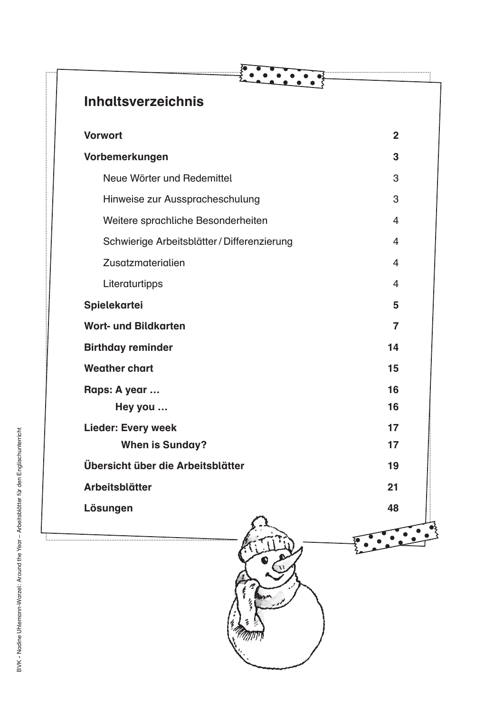| <b>Inhaltsverzeichnis</b>                   |                |
|---------------------------------------------|----------------|
| <b>Vorwort</b>                              | $\overline{2}$ |
| Vorbemerkungen                              | 3              |
| Neue Wörter und Redemittel                  | 3              |
| Hinweise zur Ausspracheschulung             | 3              |
| Weitere sprachliche Besonderheiten          | 4              |
| Schwierige Arbeitsblätter / Differenzierung | 4              |
| Zusatzmaterialien                           | 4              |
| Literaturtipps                              | $\overline{4}$ |
| <b>Spielekartei</b>                         | 5              |
| <b>Wort- und Bildkarten</b>                 | 7              |
| <b>Birthday reminder</b>                    | 14             |
| <b>Weather chart</b>                        | 15             |
| Raps: A year                                | 16             |
| Hey you                                     | 16             |
| <b>Lieder: Every week</b>                   | 17             |
| <b>When is Sunday?</b>                      | 17             |
| Übersicht über die Arbeitsblätter           | 19             |
| Arbeitsblätter                              | 21             |
| Lösungen                                    | 48             |
|                                             |                |
|                                             |                |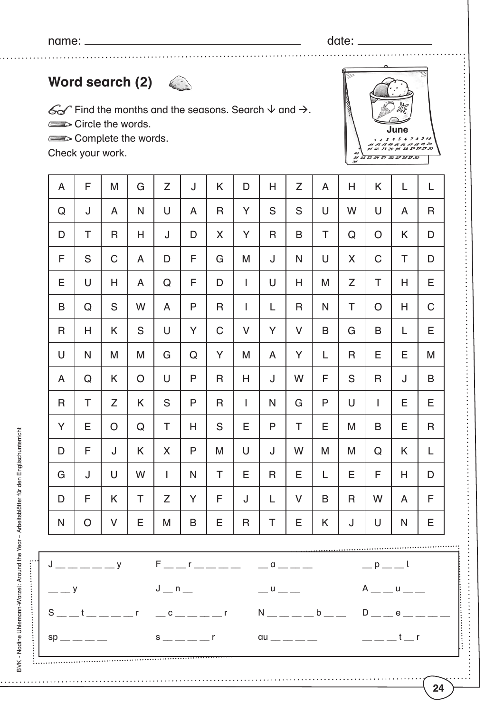name: date:

## **Word search (2)**

 $\mathscr{G}$  Find the months and the seasons. Search  $\downarrow$  and  $\rightarrow$ . Circle the words.

Complete the words.

Check your work.

| A           | F            | M             | G            | Z         | J            | K           | D              | Η           | Z      | A            | H           | K              | L            | L            |
|-------------|--------------|---------------|--------------|-----------|--------------|-------------|----------------|-------------|--------|--------------|-------------|----------------|--------------|--------------|
| Q           | J            | A             | N            | U         | A            | $\mathsf R$ | Y              | S           | S      | U            | W           | U              | A            | $\mathsf{R}$ |
| D           | T            | R             | Н            | J         | D            | X           | Y              | R           | B      | T            | Q           | $\overline{O}$ | K            | D            |
| F           | S            | $\mathsf C$   | A            | D         | F            | $\mathsf G$ | M              | J           | N      | U            | X           | $\mathsf C$    | T            | D            |
| E           | $\cup$       | Η             | A            | ${\bf Q}$ | F            | D           | $\mathbf{I}$   | U           | H      | M            | Z           | T              | Н            | E            |
| B           | Q            | ${\mathsf S}$ | W            | A         | P            | $\mathsf R$ | $\mathbf{I}$   | L           | R      | N            | T           | $\overline{O}$ | Н            | $\mathsf C$  |
| R           | H            | K             | S            | $\bigcup$ | Y            | $\mathsf C$ | $\vee$         | Y           | V      | B            | G           | $\mathsf B$    | L            | E            |
| U           | $\mathsf{N}$ | M             | M            | G         | Q            | Y           | M              | A           | Y      | L            | $\mathsf R$ | Ε              | Е            | M            |
| A           | ${\bf Q}$    | K.            | $\mathsf{O}$ | U         | $\mathsf{P}$ | $\mathsf R$ | Н              | J           | W      | F            | S           | R              | J            | B            |
| $\mathsf R$ | T            | Z             | K            | S         | P            | $\mathsf R$ | $\overline{1}$ | N           | G      | $\mathsf{P}$ | U           | I              | Е            | E            |
| Y           | Е            | O             | $\mathsf Q$  | T         | H            | S           | E              | P           | T      | E            | M           | B              | Е            | $\mathsf R$  |
| D           | F            | J             | K            | X         | $\mathsf{P}$ | M           | U              | J           | W      | M            | M           | ${\bf Q}$      | K            | L            |
| G           | J            | U             | W            | I         | N            | $\top$      | E              | $\mathsf R$ | E      | L            | E           | F              | Н            | D            |
| D           | F            | K             | T            | Z         | Y            | F           | J              | L           | $\vee$ | B            | R           | W              | A            | F            |
| N           | $\bigcirc$   | V             | Ε            | M         | B            | Ε           | R              | Τ           | Е      | Κ            | J           | U              | $\mathsf{N}$ | Ε            |
|             |              |               |              |           |              |             |                |             |        |              |             |                |              |              |

| J_____y   F__r____  _a___    _p__l     |  |             |
|----------------------------------------|--|-------------|
|                                        |  |             |
| │ S__t____r _c____r  N____b__ D__e____ |  |             |
|                                        |  | $\parallel$ |
|                                        |  |             |



........

**24**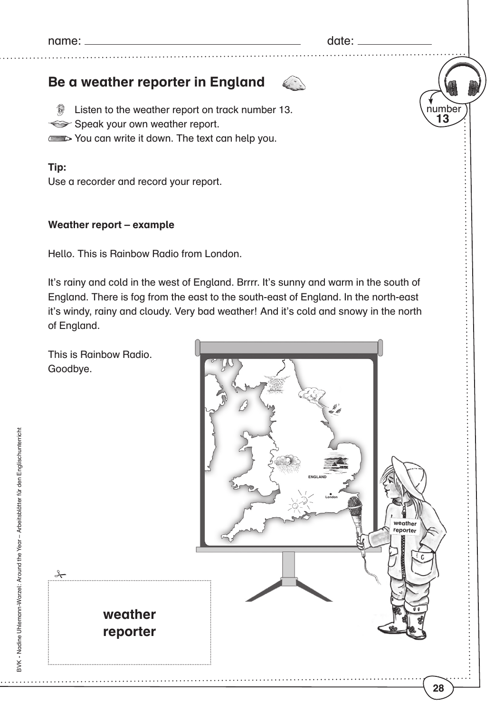name: date:

6

number

**13**

**28**

## **Be a weather reporter in England**

**Example 13.** Listen to the weather report on track number 13. Speak your own weather report. You can write it down. The text can help you.

**Tip:** 

Use a recorder and record your report.

## **Weather report – example**

Hello. This is Rainbow Radio from London.

It's rainy and cold in the west of England. Brrrr. It's sunny and warm in the south of England. There is fog from the east to the south-east of England. In the north-east it's windy, rainy and cloudy. Very bad weather! And it's cold and snowy in the north of England.

This is Rainbow Radio. Goodbye.



BVK - Nadine Uhlemann-Warzel: Around the Year - Arbeitsblätter für den Englischunterricht BVK • Nadine Uhlemann-Warzel: Around the Year – Arbeitsblätter für den Englischunterricht